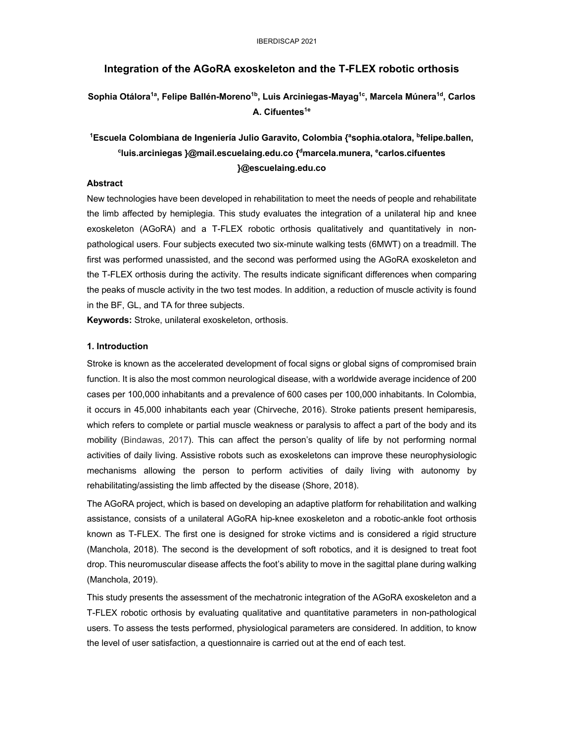### **Integration of the AGoRA exoskeleton and the T-FLEX robotic orthosis**

## Sophia Otálora<sup>1a</sup>, Felipe Ballén-Moreno<sup>1b</sup>, Luis Arciniegas-Mayag<sup>1c</sup>, Marcela Múnera<sup>1d</sup>, Carlos **A. Cifuentes1e**

# **1Escuela Colombiana de Ingeniería Julio Garavito, Colombia {asophia.otalora, bfelipe.ballen, cluis.arciniegas }@mail.escuelaing.edu.co {dmarcela.munera, ecarlos.cifuentes }@escuelaing.edu.co**

### **Abstract**

New technologies have been developed in rehabilitation to meet the needs of people and rehabilitate the limb affected by hemiplegia. This study evaluates the integration of a unilateral hip and knee exoskeleton (AGoRA) and a T-FLEX robotic orthosis qualitatively and quantitatively in nonpathological users. Four subjects executed two six-minute walking tests (6MWT) on a treadmill. The first was performed unassisted, and the second was performed using the AGoRA exoskeleton and the T-FLEX orthosis during the activity. The results indicate significant differences when comparing the peaks of muscle activity in the two test modes. In addition, a reduction of muscle activity is found in the BF, GL, and TA for three subjects.

**Keywords:** Stroke, unilateral exoskeleton, orthosis.

### **1. Introduction**

Stroke is known as the accelerated development of focal signs or global signs of compromised brain function. It is also the most common neurological disease, with a worldwide average incidence of 200 cases per 100,000 inhabitants and a prevalence of 600 cases per 100,000 inhabitants. In Colombia, it occurs in 45,000 inhabitants each year (Chirveche, 2016). Stroke patients present hemiparesis, which refers to complete or partial muscle weakness or paralysis to affect a part of the body and its mobility (Bindawas, 2017). This can affect the person's quality of life by not performing normal activities of daily living. Assistive robots such as exoskeletons can improve these neurophysiologic mechanisms allowing the person to perform activities of daily living with autonomy by rehabilitating/assisting the limb affected by the disease (Shore, 2018).

The AGoRA project, which is based on developing an adaptive platform for rehabilitation and walking assistance, consists of a unilateral AGoRA hip-knee exoskeleton and a robotic-ankle foot orthosis known as T-FLEX. The first one is designed for stroke victims and is considered a rigid structure (Manchola, 2018). The second is the development of soft robotics, and it is designed to treat foot drop. This neuromuscular disease affects the foot's ability to move in the sagittal plane during walking (Manchola, 2019).

This study presents the assessment of the mechatronic integration of the AGoRA exoskeleton and a T-FLEX robotic orthosis by evaluating qualitative and quantitative parameters in non-pathological users. To assess the tests performed, physiological parameters are considered. In addition, to know the level of user satisfaction, a questionnaire is carried out at the end of each test.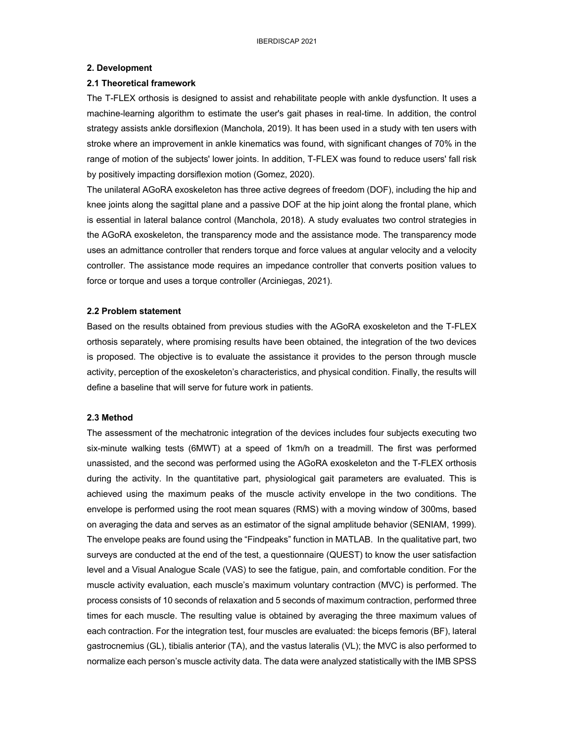#### **2. Development**

#### **2.1 Theoretical framework**

The T-FLEX orthosis is designed to assist and rehabilitate people with ankle dysfunction. It uses a machine-learning algorithm to estimate the user's gait phases in real-time. In addition, the control strategy assists ankle dorsiflexion (Manchola, 2019). It has been used in a study with ten users with stroke where an improvement in ankle kinematics was found, with significant changes of 70% in the range of motion of the subjects' lower joints. In addition, T-FLEX was found to reduce users' fall risk by positively impacting dorsiflexion motion (Gomez, 2020).

The unilateral AGoRA exoskeleton has three active degrees of freedom (DOF), including the hip and knee joints along the sagittal plane and a passive DOF at the hip joint along the frontal plane, which is essential in lateral balance control (Manchola, 2018). A study evaluates two control strategies in the AGoRA exoskeleton, the transparency mode and the assistance mode. The transparency mode uses an admittance controller that renders torque and force values at angular velocity and a velocity controller. The assistance mode requires an impedance controller that converts position values to force or torque and uses a torque controller (Arciniegas, 2021).

#### **2.2 Problem statement**

Based on the results obtained from previous studies with the AGoRA exoskeleton and the T-FLEX orthosis separately, where promising results have been obtained, the integration of the two devices is proposed. The objective is to evaluate the assistance it provides to the person through muscle activity, perception of the exoskeleton's characteristics, and physical condition. Finally, the results will define a baseline that will serve for future work in patients.

#### **2.3 Method**

The assessment of the mechatronic integration of the devices includes four subjects executing two six-minute walking tests (6MWT) at a speed of 1km/h on a treadmill. The first was performed unassisted, and the second was performed using the AGoRA exoskeleton and the T-FLEX orthosis during the activity. In the quantitative part, physiological gait parameters are evaluated. This is achieved using the maximum peaks of the muscle activity envelope in the two conditions. The envelope is performed using the root mean squares (RMS) with a moving window of 300ms, based on averaging the data and serves as an estimator of the signal amplitude behavior (SENIAM, 1999). The envelope peaks are found using the "Findpeaks" function in MATLAB. In the qualitative part, two surveys are conducted at the end of the test, a questionnaire (QUEST) to know the user satisfaction level and a Visual Analogue Scale (VAS) to see the fatigue, pain, and comfortable condition. For the muscle activity evaluation, each muscle's maximum voluntary contraction (MVC) is performed. The process consists of 10 seconds of relaxation and 5 seconds of maximum contraction, performed three times for each muscle. The resulting value is obtained by averaging the three maximum values of each contraction. For the integration test, four muscles are evaluated: the biceps femoris (BF), lateral gastrocnemius (GL), tibialis anterior (TA), and the vastus lateralis (VL); the MVC is also performed to normalize each person's muscle activity data. The data were analyzed statistically with the IMB SPSS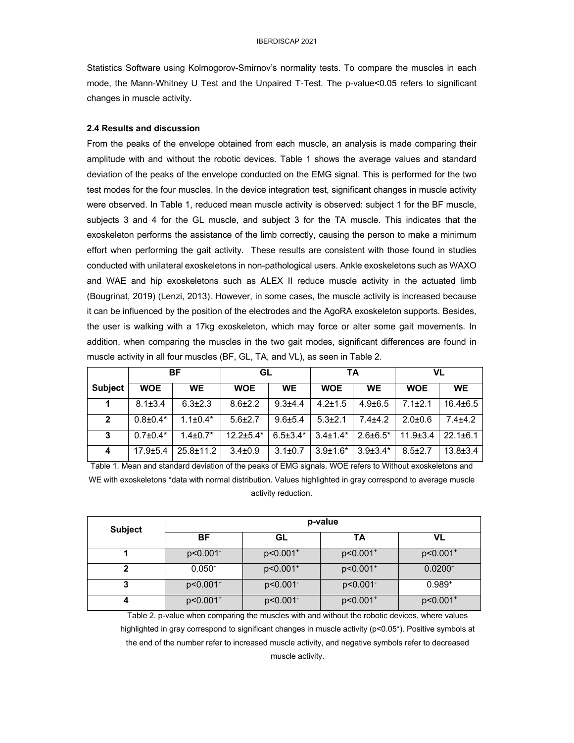Statistics Software using Kolmogorov-Smirnov's normality tests. To compare the muscles in each mode, the Mann-Whitney U Test and the Unpaired T-Test. The p-value<0.05 refers to significant changes in muscle activity.

#### **2.4 Results and discussion**

From the peaks of the envelope obtained from each muscle, an analysis is made comparing their amplitude with and without the robotic devices. Table 1 shows the average values and standard deviation of the peaks of the envelope conducted on the EMG signal. This is performed for the two test modes for the four muscles. In the device integration test, significant changes in muscle activity were observed. In Table 1, reduced mean muscle activity is observed: subject 1 for the BF muscle, subjects 3 and 4 for the GL muscle, and subject 3 for the TA muscle. This indicates that the exoskeleton performs the assistance of the limb correctly, causing the person to make a minimum effort when performing the gait activity. These results are consistent with those found in studies conducted with unilateral exoskeletons in non-pathological users. Ankle exoskeletons such as WAXO and WAE and hip exoskeletons such as ALEX II reduce muscle activity in the actuated limb (Bougrinat, 2019) (Lenzi, 2013). However, in some cases, the muscle activity is increased because it can be influenced by the position of the electrodes and the AgoRA exoskeleton supports. Besides, the user is walking with a 17kg exoskeleton, which may force or alter some gait movements. In addition, when comparing the muscles in the two gait modes, significant differences are found in muscle activity in all four muscles (BF, GL, TA, and VL), as seen in Table 2.

|                | ΒF             |                 | GL              |                | TA             |                 | VL            |               |
|----------------|----------------|-----------------|-----------------|----------------|----------------|-----------------|---------------|---------------|
| <b>Subject</b> | <b>WOE</b>     | <b>WE</b>       | <b>WOE</b>      | <b>WE</b>      | <b>WOE</b>     | <b>WE</b>       | <b>WOE</b>    | <b>WE</b>     |
|                | $8.1 \pm 3.4$  | $6.3 \pm 2.3$   | $8.6 \pm 2.2$   | $9.3 + 4.4$    | $4.2 \pm 1.5$  | $4.9 \pm 6.5$   | $7.1 \pm 2.1$ | $16.4\pm 6.5$ |
| $\mathbf{2}$   | $0.8 \pm 0.4*$ | $1.1 \pm 0.4*$  | $5.6 \pm 2.7$   | $9.6 + 5.4$    | $5.3 \pm 2.1$  | $7.4 + 4.2$     | $2.0 + 0.6$   | $7.4 + 4.2$   |
| 3              | $0.7 \pm 0.4*$ | $1.4 + 0.7*$    | $12.2 \pm 5.4*$ | $6.5 \pm 3.4*$ | $3.4 \pm 1.4*$ | $2.6 \pm 6.5^*$ | $11.9 + 3.4$  | $22.1 + 6.1$  |
| 4              | $17.9 + 5.4$   | $25.8 \pm 11.2$ | $3.4 \pm 0.9$   | $3.1 \pm 0.7$  | $3.9 + 1.6*$   | $3.9 + 3.4*$    | $8.5 \pm 2.7$ | $13.8 + 3.4$  |

Table 1. Mean and standard deviation of the peaks of EMG signals. WOE refers to Without exoskeletons and WE with exoskeletons \*data with normal distribution. Values highlighted in gray correspond to average muscle activity reduction.

| <b>Subject</b> | p-value              |                        |                        |                        |  |  |  |  |
|----------------|----------------------|------------------------|------------------------|------------------------|--|--|--|--|
|                | <b>BF</b>            | GL                     | ΤΑ                     | VL                     |  |  |  |  |
|                | p<0.001              | p<0.001 <sup>+</sup>   | p<0.001 <sup>+</sup>   | p<0.001 <sup>+</sup>   |  |  |  |  |
|                | $0.050^{+}$          | p<0.001 <sup>+</sup>   | p<0.001 <sup>+</sup>   | $0.0200^{+}$           |  |  |  |  |
| <u>,</u><br>۰J | p<0.001 <sup>+</sup> | $p<0.001$ <sup>-</sup> | $p<0.001$ <sup>-</sup> | $0.989^{+}$            |  |  |  |  |
|                | p<0.001 <sup>+</sup> | p<0.001                | p<0.001 <sup>+</sup>   | $p<0.001$ <sup>+</sup> |  |  |  |  |

Table 2. p-value when comparing the muscles with and without the robotic devices, where values highlighted in gray correspond to significant changes in muscle activity (p<0.05\*). Positive symbols at the end of the number refer to increased muscle activity, and negative symbols refer to decreased muscle activity.